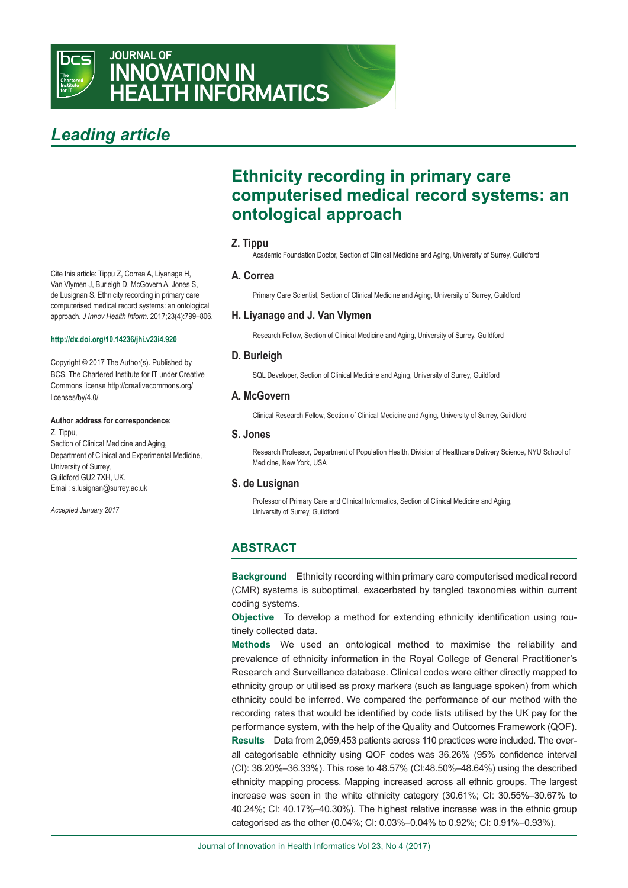

# JOURNAL OF INNOVATION IN HEALTH INFORMATICS

# *Leading article*

Cite this article: Tippu Z, Correa A, Liyanage H, Van Vlymen J, Burleigh D, McGovern A, Jones S, de Lusignan S. Ethnicity recording in primary care computerised medical record systems: an ontological approach. *J Innov Health Inform*. 2017;23(4):799–806.

#### **<http://dx.doi.org/10.14236/jhi.v23i4.920>**

[Copyright © 2017 The Author\(s\). Published by](http://creativecommons.org/licenses/by/4.0/)  [BCS, The Chartered Institute for IT under Creative](http://creativecommons.org/licenses/by/4.0/)  [Commons license http://creativecommons.org/](http://creativecommons.org/licenses/by/4.0/) [licenses/by/4.0/](http://creativecommons.org/licenses/by/4.0/)

#### **Author address for correspondence:**

Z. Tippu, Section of Clinical Medicine and Aging, Department of Clinical and Experimental Medicine, University of Surrey, Guildford GU2 7XH, UK. [Email: s.lusignan@surrey.ac.uk](ac.uk) 

*Accepted January 2017*

# **Ethnicity recording in primary care computerised medical record systems: an ontological approach**

# **Z. Tippu**

Academic Foundation Doctor, Section of Clinical Medicine and Aging, University of Surrey, Guildford

### **A. Correa**

Primary Care Scientist, Section of Clinical Medicine and Aging, University of Surrey, Guildford

# **H. Liyanage and J. Van Vlymen**

Research Fellow, Section of Clinical Medicine and Aging, University of Surrey, Guildford

# **D. Burleigh**

SQL Developer, Section of Clinical Medicine and Aging, University of Surrey, Guildford

# **A. McGovern**

Clinical Research Fellow, Section of Clinical Medicine and Aging, University of Surrey, Guildford

#### **S. Jones**

Research Professor, Department of Population Health, Division of Healthcare Delivery Science, NYU School of Medicine, New York, USA

### **S. de Lusignan**

Professor of Primary Care and Clinical Informatics, Section of Clinical Medicine and Aging, University of Surrey, Guildford

# **ABSTRACT**

**Background** Ethnicity recording within primary care computerised medical record (CMR) systems is suboptimal, exacerbated by tangled taxonomies within current coding systems.

**Objective** To develop a method for extending ethnicity identification using routinely collected data.

**Methods** We used an ontological method to maximise the reliability and prevalence of ethnicity information in the Royal College of General Practitioner's Research and Surveillance database. Clinical codes were either directly mapped to ethnicity group or utilised as proxy markers (such as language spoken) from which ethnicity could be inferred. We compared the performance of our method with the recording rates that would be identified by code lists utilised by the UK pay for the performance system, with the help of the Quality and Outcomes Framework (QOF). **Results** Data from 2,059,453 patients across 110 practices were included. The overall categorisable ethnicity using QOF codes was 36.26% (95% confidence interval (CI): 36.20%–36.33%). This rose to 48.57% (CI:48.50%–48.64%) using the described ethnicity mapping process. Mapping increased across all ethnic groups. The largest increase was seen in the white ethnicity category (30.61%; CI: 30.55%–30.67% to 40.24%; CI: 40.17%–40.30%). The highest relative increase was in the ethnic group categorised as the other (0.04%; CI: 0.03%–0.04% to 0.92%; CI: 0.91%–0.93%).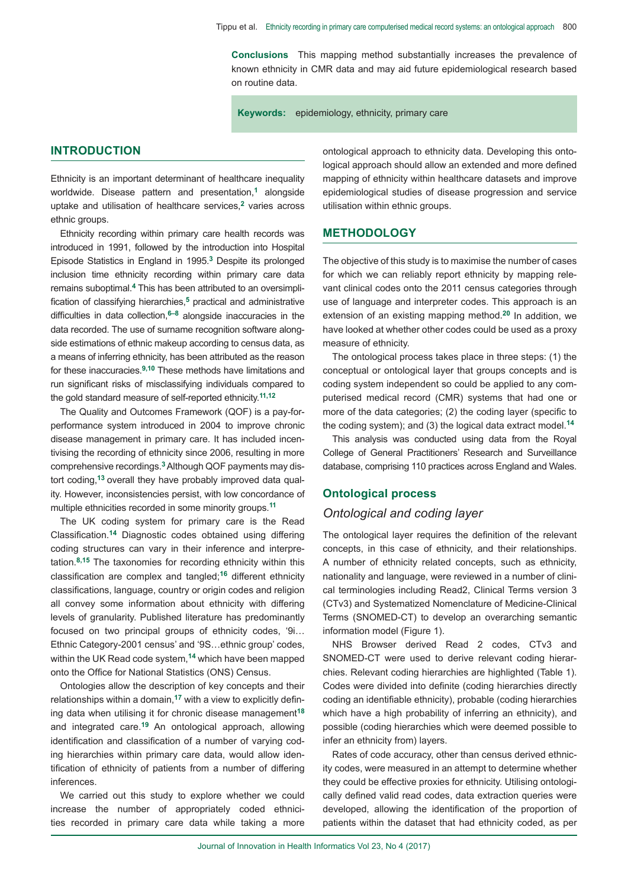**Conclusions** This mapping method substantially increases the prevalence of known ethnicity in CMR data and may aid future epidemiological research based on routine data.

**Keywords:** epidemiology, ethnicity, primary care

## **INTRODUCTION**

Ethnicity is an important determinant of healthcare inequality worldwide. Disease pattern and presentation,**1** alongside uptake and utilisation of healthcare services,**2** varies across ethnic groups.

Ethnicity recording within primary care health records was introduced in 1991, followed by the introduction into Hospital Episode Statistics in England in 1995.**3** Despite its prolonged inclusion time ethnicity recording within primary care data remains suboptimal.**4** This has been attributed to an oversimplification of classifying hierarchies,**5** practical and administrative difficulties in data collection,**6–8** alongside inaccuracies in the data recorded. The use of surname recognition software alongside estimations of ethnic makeup according to census data, as a means of inferring ethnicity, has been attributed as the reason for these inaccuracies.**9,10** These methods have limitations and run significant risks of misclassifying individuals compared to the gold standard measure of self-reported ethnicity.**11,12** 

The Quality and Outcomes Framework (QOF) is a pay-forperformance system introduced in 2004 to improve chronic disease management in primary care. It has included incentivising the recording of ethnicity since 2006, resulting in more comprehensive recordings.**3** Although QOF payments may distort coding,**13** overall they have probably improved data quality. However, inconsistencies persist, with low concordance of multiple ethnicities recorded in some minority groups.**<sup>11</sup>**

The UK coding system for primary care is the Read Classification.**14** Diagnostic codes obtained using differing coding structures can vary in their inference and interpretation.**8,15** The taxonomies for recording ethnicity within this classification are complex and tangled;**16** different ethnicity classifications, language, country or origin codes and religion all convey some information about ethnicity with differing levels of granularity. Published literature has predominantly focused on two principal groups of ethnicity codes, '9i… Ethnic Category-2001 census' and '9S…ethnic group' codes, within the UK Read code system,**14** which have been mapped onto the Office for National Statistics (ONS) Census.

Ontologies allow the description of key concepts and their relationships within a domain,**17** with a view to explicitly defining data when utilising it for chronic disease management**<sup>18</sup>** and integrated care.**19** An ontological approach, allowing identification and classification of a number of varying coding hierarchies within primary care data, would allow identification of ethnicity of patients from a number of differing inferences.

We carried out this study to explore whether we could increase the number of appropriately coded ethnicities recorded in primary care data while taking a more ontological approach to ethnicity data. Developing this ontological approach should allow an extended and more defined mapping of ethnicity within healthcare datasets and improve epidemiological studies of disease progression and service utilisation within ethnic groups.

# **METHODOLOGY**

The objective of this study is to maximise the number of cases for which we can reliably report ethnicity by mapping relevant clinical codes onto the 2011 census categories through use of language and interpreter codes. This approach is an extension of an existing mapping method.**20** In addition, we have looked at whether other codes could be used as a proxy measure of ethnicity.

The ontological process takes place in three steps: (1) the conceptual or ontological layer that groups concepts and is coding system independent so could be applied to any computerised medical record (CMR) systems that had one or more of the data categories; (2) the coding layer (specific to the coding system); and (3) the logical data extract model.**<sup>14</sup>**

This analysis was conducted using data from the Royal College of General Practitioners' Research and Surveillance database, comprising 110 practices across England and Wales.

# **Ontological process**

## *Ontological and coding layer*

The ontological layer requires the definition of the relevant concepts, in this case of ethnicity, and their relationships. A number of ethnicity related concepts, such as ethnicity, nationality and language, were reviewed in a number of clinical terminologies including Read2, Clinical Terms version 3 (CTv3) and Systematized Nomenclature of Medicine-Clinical Terms (SNOMED-CT) to develop an overarching semantic information model (Figure 1).

NHS Browser derived Read 2 codes, CTv3 and SNOMED-CT were used to derive relevant coding hierarchies. Relevant coding hierarchies are highlighted (Table 1). Codes were divided into definite (coding hierarchies directly coding an identifiable ethnicity), probable (coding hierarchies which have a high probability of inferring an ethnicity), and possible (coding hierarchies which were deemed possible to infer an ethnicity from) layers.

Rates of code accuracy, other than census derived ethnicity codes, were measured in an attempt to determine whether they could be effective proxies for ethnicity. Utilising ontologically defined valid read codes, data extraction queries were developed, allowing the identification of the proportion of patients within the dataset that had ethnicity coded, as per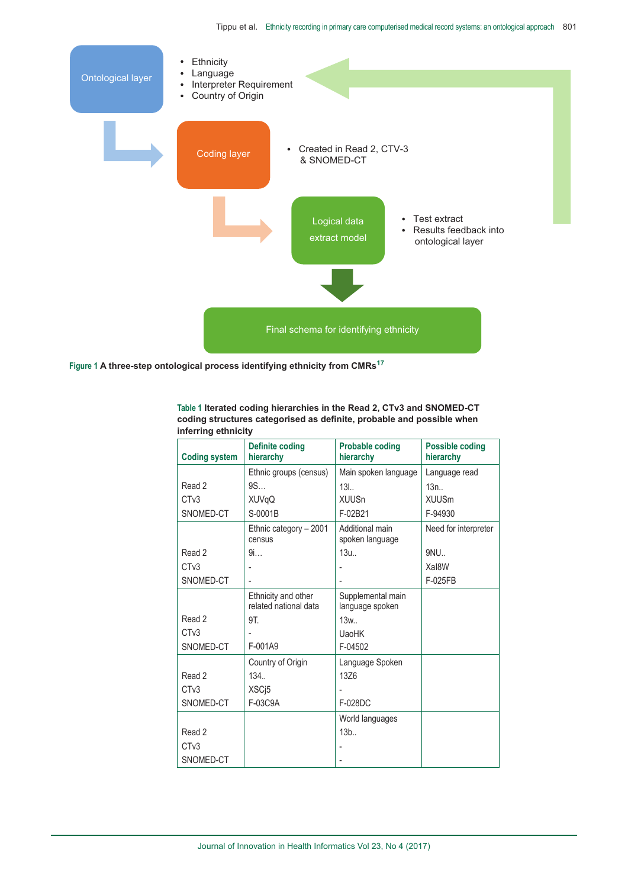

Figure 1 A three-step ontological process identifying ethnicity from CMRs<sup>17</sup>

**Table 1 Iterated coding hierarchies in the Read 2, CTv3 and SNOMED-CT coding structures categorised as definite, probable and possible when inferring ethnicity**

| <b>Coding system</b> | <b>Definite coding</b><br>hierarchy          | <b>Probable coding</b><br>hierarchy  | <b>Possible coding</b><br>hierarchy |
|----------------------|----------------------------------------------|--------------------------------------|-------------------------------------|
|                      | Ethnic groups (census)                       | Main spoken language                 | Language read                       |
| Read 2               | 9S                                           | 13L.                                 | $13n$ .                             |
| CT <sub>v</sub> 3    | <b>XUVqQ</b>                                 | <b>XUUSn</b>                         | <b>XUUSm</b>                        |
| SNOMED-CT            | S-0001B                                      | F-02B21                              | F-94930                             |
|                      | Ethnic category - 2001<br>census             | Additional main<br>spoken language   | Need for interpreter                |
| Read 2               | 9i                                           | $13u$                                | 9NU                                 |
| CT <sub>v</sub> 3    |                                              |                                      | Xal8W                               |
| SNOMED-CT            |                                              |                                      | F-025FB                             |
|                      | Ethnicity and other<br>related national data | Supplemental main<br>language spoken |                                     |
| Read 2               | 9T.                                          | 13w.                                 |                                     |
| CT <sub>v</sub> 3    |                                              | <b>UaoHK</b>                         |                                     |
| SNOMED-CT            | F-001A9                                      | F-04502                              |                                     |
|                      | Country of Origin                            | Language Spoken                      |                                     |
| Read 2               | 134                                          | 13Z6                                 |                                     |
| CT <sub>v</sub> 3    | XSC <sub>i</sub> 5                           |                                      |                                     |
| SNOMED-CT            | F-03C9A                                      | F-028DC                              |                                     |
|                      |                                              | World languages                      |                                     |
| Read 2               |                                              | 13b                                  |                                     |
| CT <sub>v</sub> 3    |                                              |                                      |                                     |
| SNOMED-CT            |                                              |                                      |                                     |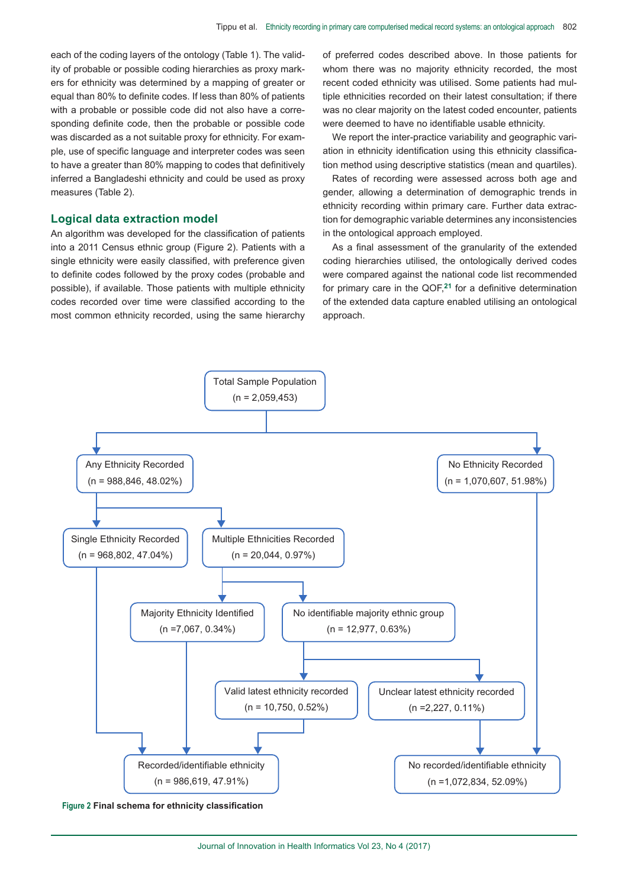each of the coding layers of the ontology (Table 1). The validity of probable or possible coding hierarchies as proxy markers for ethnicity was determined by a mapping of greater or equal than 80% to definite codes. If less than 80% of patients with a probable or possible code did not also have a corresponding definite code, then the probable or possible code was discarded as a not suitable proxy for ethnicity. For example, use of specific language and interpreter codes was seen to have a greater than 80% mapping to codes that definitively inferred a Bangladeshi ethnicity and could be used as proxy measures (Table 2).

#### **Logical data extraction model**

An algorithm was developed for the classification of patients into a 2011 Census ethnic group (Figure 2). Patients with a single ethnicity were easily classified, with preference given to definite codes followed by the proxy codes (probable and possible), if available. Those patients with multiple ethnicity codes recorded over time were classified according to the most common ethnicity recorded, using the same hierarchy of preferred codes described above. In those patients for whom there was no majority ethnicity recorded, the most recent coded ethnicity was utilised. Some patients had multiple ethnicities recorded on their latest consultation; if there was no clear majority on the latest coded encounter, patients were deemed to have no identifiable usable ethnicity.

We report the inter-practice variability and geographic variation in ethnicity identification using this ethnicity classification method using descriptive statistics (mean and quartiles).

Rates of recording were assessed across both age and gender, allowing a determination of demographic trends in ethnicity recording within primary care. Further data extraction for demographic variable determines any inconsistencies in the ontological approach employed.

As a final assessment of the granularity of the extended coding hierarchies utilised, the ontologically derived codes were compared against the national code list recommended for primary care in the QOF,**21** for a definitive determination of the extended data capture enabled utilising an ontological approach.



**Figure 2 Final schema for ethnicity classification**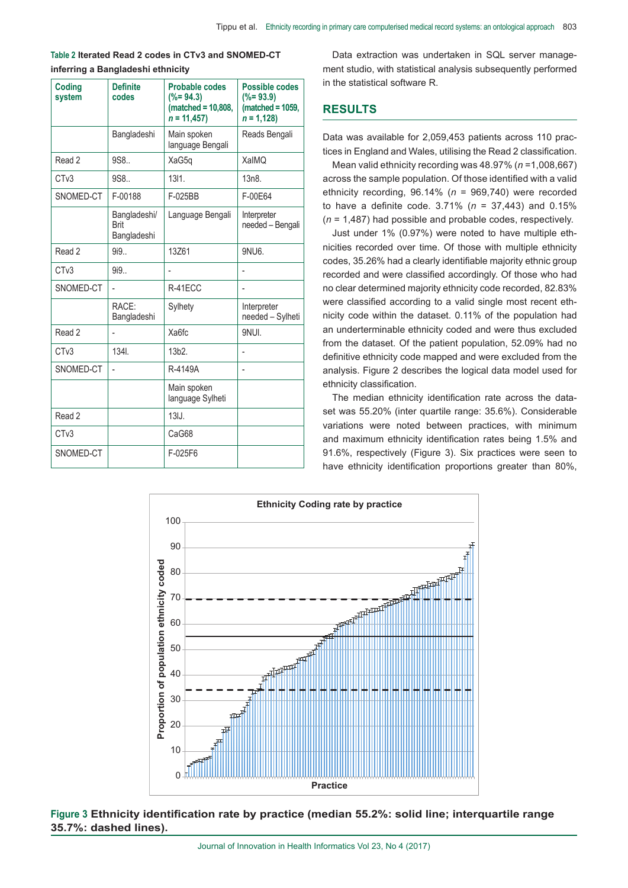#### **Table 2 Iterated Read 2 codes in CTv3 and SNOMED-CT inferring a Bangladeshi ethnicity**

| <b>Coding</b><br>system | <b>Definite</b><br>codes            | <b>Probable codes</b><br>$(*)$ = 94.3)<br>$(matched = 10,808,$<br>$n = 11,457$ | Possible codes<br>$(*=93.9)$<br>$matched = 1059.$<br>$n = 1,128$ |
|-------------------------|-------------------------------------|--------------------------------------------------------------------------------|------------------------------------------------------------------|
|                         | Bangladeshi                         | Main spoken<br>language Bengali                                                | Reads Bengali                                                    |
| Read 2                  | 9S8                                 | XaG5q                                                                          | XalMQ                                                            |
| CT <sub>v</sub> 3       | 9S8                                 | 1311.                                                                          | 13n8                                                             |
| SNOMED-CT               | F-00188                             | F-025BB                                                                        | F-00E64                                                          |
|                         | Bangladeshi/<br>Brit<br>Bangladeshi | Language Bengali                                                               | Interpreter<br>needed - Bengali                                  |
| Read 2                  | 9i9.                                | 13Z61                                                                          | 9NU6.                                                            |
| CT <sub>v</sub> 3       | 9i9.                                |                                                                                |                                                                  |
| SNOMED-CT               | ÷                                   | R-41ECC                                                                        |                                                                  |
|                         | RACE:<br>Bangladeshi                | Sylhety                                                                        | Interpreter<br>needed - Sylheti                                  |
| Read 2                  |                                     | Xa6fc                                                                          | <b>9NUL</b>                                                      |
| CT <sub>v</sub> 3       | 1341.                               | 13b2.                                                                          |                                                                  |
| SNOMED-CT               | ÷,                                  | R-4149A                                                                        | $\overline{\phantom{0}}$                                         |
|                         |                                     | Main spoken<br>language Sylheti                                                |                                                                  |
| Read 2                  |                                     | 13J.                                                                           |                                                                  |
| CT <sub>v</sub> 3       |                                     | CaG68                                                                          |                                                                  |
| SNOMED-CT               |                                     | F-025F6                                                                        |                                                                  |

Data extraction was undertaken in SQL server management studio, with statistical analysis subsequently performed in the statistical software R.

# **RESULTS**

Data was available for 2,059,453 patients across 110 practices in England and Wales, utilising the Read 2 classification.

Mean valid ethnicity recording was 48.97% (*n* =1,008,667) across the sample population. Of those identified with a valid ethnicity recording, 96.14% (*n* = 969,740) were recorded to have a definite code. 3.71% (*n* = 37,443) and 0.15% (*n* = 1,487) had possible and probable codes, respectively.

Just under 1% (0.97%) were noted to have multiple ethnicities recorded over time. Of those with multiple ethnicity codes, 35.26% had a clearly identifiable majority ethnic group recorded and were classified accordingly. Of those who had no clear determined majority ethnicity code recorded, 82.83% were classified according to a valid single most recent ethnicity code within the dataset. 0.11% of the population had an underterminable ethnicity coded and were thus excluded from the dataset. Of the patient population, 52.09% had no definitive ethnicity code mapped and were excluded from the analysis. Figure 2 describes the logical data model used for ethnicity classification.

[The median ethnicity identification rate across the data](recording.Ten)[set was 55.20% \(inter quartile range: 35.6%\). Considerable](recording.Ten) [variations were noted between practices, with minimum](recording.Ten) [and maximum ethnicity identification rates being 1.5% and](recording.Ten) [91.6%, respectively \(Figure 3\). Six practices were seen to](recording.Ten) [have ethnicity identification proportions greater than 80%,](recording.Ten)



# **Figure 3 Ethnicity identification rate by practice (median 55.2%: solid line; interquartile range 35.7%: dashed lines).**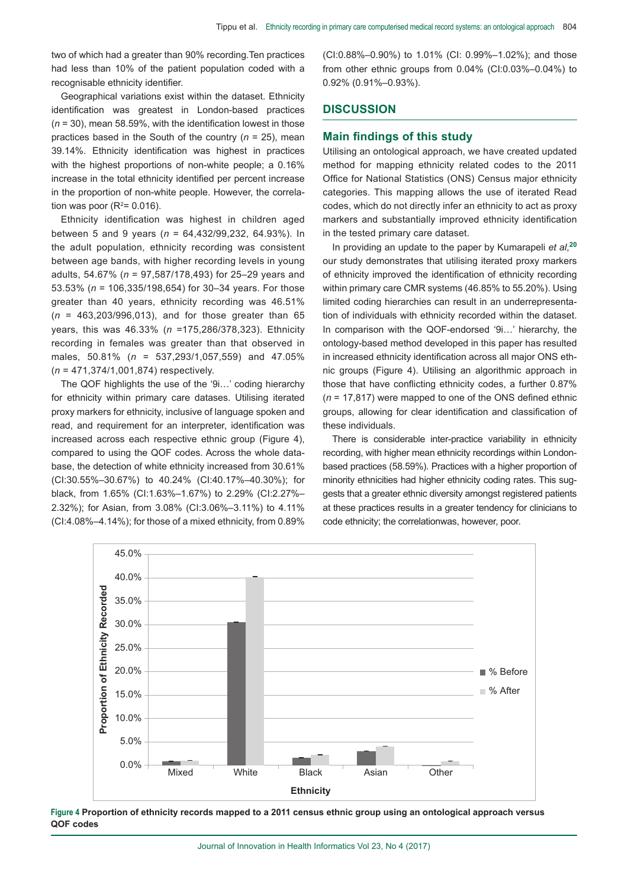[two of which had a greater than 90% recording.Ten practices](recording.Ten)  [had less than 10% of the patient population coded with a](recording.Ten)  [recognisable ethnicity identifier.](recording.Ten) 

Geographical variations exist within the dataset. Ethnicity identification was greatest in London-based practices (*n* = 30), mean 58.59%, with the identification lowest in those practices based in the South of the country (*n* = 25), mean 39.14%. Ethnicity identification was highest in practices with the highest proportions of non-white people; a 0.16% increase in the total ethnicity identified per percent increase in the proportion of non-white people. However, the correlation was poor ( $R^2$ = 0.016).

Ethnicity identification was highest in children aged between 5 and 9 years (*n* = 64,432/99,232, 64.93%). In the adult population, ethnicity recording was consistent between age bands, with higher recording levels in young adults, 54.67% (*n* = 97,587/178,493) for 25–29 years and 53.53% (*n* = 106,335/198,654) for 30–34 years. For those greater than 40 years, ethnicity recording was 46.51% (*n* = 463,203/996,013), and for those greater than 65 years, this was 46.33% (*n* =175,286/378,323). Ethnicity recording in females was greater than that observed in males, 50.81% (*n* = 537,293/1,057,559) and 47.05% (*n* = 471,374/1,001,874) respectively.

The QOF highlights the use of the '9i…' coding hierarchy for ethnicity within primary care datases. Utilising iterated proxy markers for ethnicity, inclusive of language spoken and read, and requirement for an interpreter, identification was increased across each respective ethnic group (Figure 4), compared to using the QOF codes. Across the whole database, the detection of white ethnicity increased from 30.61% (CI:30.55%–30.67%) to 40.24% (CI:40.17%–40.30%); for black, from 1.65% (CI:1.63%–1.67%) to 2.29% (CI:2.27%– 2.32%); for Asian, from 3.08% (CI:3.06%–3.11%) to 4.11% (CI:4.08%–4.14%); for those of a mixed ethnicity, from 0.89%

(CI:0.88%–0.90%) to 1.01% (CI: 0.99%–1.02%); and those from other ethnic groups from 0.04% (CI:0.03%–0.04%) to 0.92% (0.91%–0.93%).

#### **DISCUSSION**

## **Main findings of this study**

Utilising an ontological approach, we have created updated method for mapping ethnicity related codes to the 2011 Office for National Statistics (ONS) Census major ethnicity categories. This mapping allows the use of iterated Read codes, which do not directly infer an ethnicity to act as proxy markers and substantially improved ethnicity identification in the tested primary care dataset.

In providing an update to the paper by Kumarapeli *et al*, **20** our study demonstrates that utilising iterated proxy markers of ethnicity improved the identification of ethnicity recording within primary care CMR systems (46.85% to 55.20%). Using limited coding hierarchies can result in an underrepresentation of individuals with ethnicity recorded within the dataset. In comparison with the QOF-endorsed '9i…' hierarchy, the ontology-based method developed in this paper has resulted in increased ethnicity identification across all major ONS ethnic groups (Figure 4). Utilising an algorithmic approach in those that have conflicting ethnicity codes, a further 0.87% (*n* = 17,817) were mapped to one of the ONS defined ethnic groups, allowing for clear identification and classification of these individuals.

There is considerable inter-practice variability in ethnicity recording, with higher mean ethnicity recordings within Londonbased practices (58.59%). Practices with a higher proportion of minority ethnicities had higher ethnicity coding rates. This suggests that a greater ethnic diversity amongst registered patients at these practices results in a greater tendency for clinicians to code ethnicity; the correlationwas, however, poor.



**Figure 4 Proportion of ethnicity records mapped to a 2011 census ethnic group using an ontological approach versus QOF codes**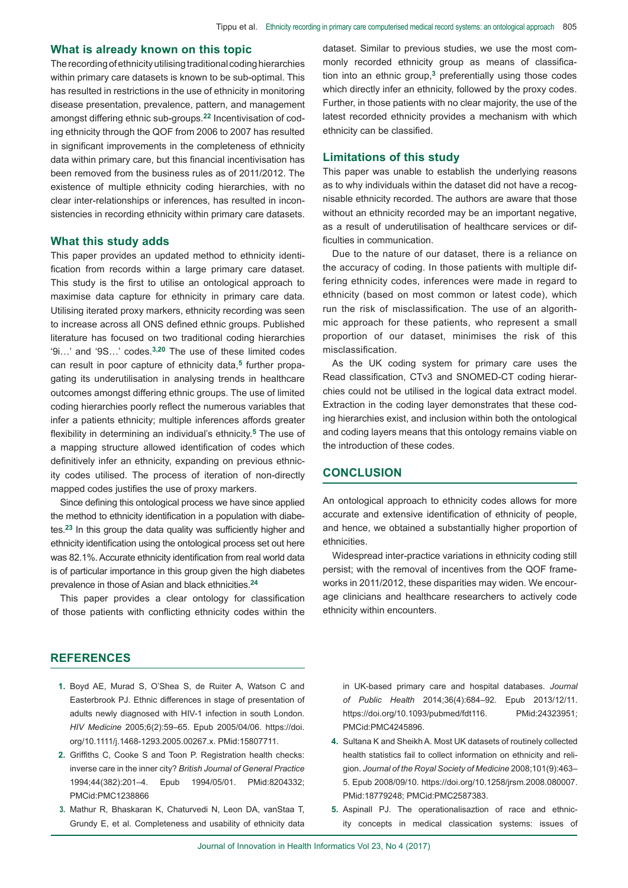#### **What is already known on this topic**

The recording of ethnicity utilising traditional coding hierarchies within primary care datasets is known to be sub-optimal. This has resulted in restrictions in the use of ethnicity in monitoring disease presentation, prevalence, pattern, and management amongst differing ethnic sub-groups.**22** Incentivisation of coding ethnicity through the QOF from 2006 to 2007 has resulted in significant improvements in the completeness of ethnicity data within primary care, but this financial incentivisation has been removed from the business rules as of 2011/2012. The existence of multiple ethnicity coding hierarchies, with no clear inter-relationships or inferences, has resulted in inconsistencies in recording ethnicity within primary care datasets.

#### **What this study adds**

This paper provides an updated method to ethnicity identification from records within a large primary care dataset. This study is the first to utilise an ontological approach to maximise data capture for ethnicity in primary care data. Utilising iterated proxy markers, ethnicity recording was seen to increase across all ONS defined ethnic groups. Published literature has focused on two traditional coding hierarchies '9i…' and '9S…' codes.**3,20** The use of these limited codes can result in poor capture of ethnicity data,**5** further propagating its underutilisation in analysing trends in healthcare outcomes amongst differing ethnic groups. The use of limited coding hierarchies poorly reflect the numerous variables that infer a patients ethnicity; multiple inferences affords greater flexibility in determining an individual's ethnicity.**5** The use of a mapping structure allowed identification of codes which definitively infer an ethnicity, expanding on previous ethnicity codes utilised. The process of iteration of non-directly mapped codes justifies the use of proxy markers.

Since defining this ontological process we have since applied the method to ethnicity identification in a population with diabetes.**23** In this group the data quality was sufficiently higher and ethnicity identification using the ontological process set out here was 82.1%. Accurate ethnicity identification from real world data is of particular importance in this group given the high diabetes prevalence in those of Asian and black ethnicities.**<sup>24</sup>**

This paper provides a clear ontology for classification of those patients with conflicting ethnicity codes within the dataset. Similar to previous studies, we use the most commonly recorded ethnicity group as means of classification into an ethnic group,**3** preferentially using those codes which directly infer an ethnicity, followed by the proxy codes. Further, in those patients with no clear majority, the use of the latest recorded ethnicity provides a mechanism with which ethnicity can be classified.

#### **Limitations of this study**

This paper was unable to establish the underlying reasons as to why individuals within the dataset did not have a recognisable ethnicity recorded. The authors are aware that those without an ethnicity recorded may be an important negative, as a result of underutilisation of healthcare services or difficulties in communication.

Due to the nature of our dataset, there is a reliance on the accuracy of coding. In those patients with multiple differing ethnicity codes, inferences were made in regard to ethnicity (based on most common or latest code), which run the risk of misclassification. The use of an algorithmic approach for these patients, who represent a small proportion of our dataset, minimises the risk of this misclassification.

As the UK coding system for primary care uses the Read classification, CTv3 and SNOMED-CT coding hierarchies could not be utilised in the logical data extract model. Extraction in the coding layer demonstrates that these coding hierarchies exist, and inclusion within both the ontological and coding layers means that this ontology remains viable on the introduction of these codes.

#### **CONCLUSION**

An ontological approach to ethnicity codes allows for more accurate and extensive identification of ethnicity of people, and hence, we obtained a substantially higher proportion of ethnicities.

Widespread inter-practice variations in ethnicity coding still persist; with the removal of incentives from the QOF frameworks in 2011/2012, these disparities may widen. We encourage clinicians and healthcare researchers to actively code ethnicity within encounters.

#### **REFERENCES**

- **1.** [Boyd AE, Murad S, O'Shea S, de Ruiter A, Watson C and](https://doi.org/10.1111/j.1468-1293.2005.00267.x)  [Easterbrook PJ. Ethnic differences in stage of presentation of](https://doi.org/10.1111/j.1468-1293.2005.00267.x)  [adults newly diagnosed with HIV-1 infection in south London.](https://doi.org/10.1111/j.1468-1293.2005.00267.x)  *HIV Medicine* [2005;6\(2\):59–65. Epub 2005/04/06. https://doi.](https://doi.org/10.1111/j.1468-1293.2005.00267.x) [org/10.1111/j.1468-1293.2005.00267.x. PMid:15807711.](https://doi.org/10.1111/j.1468-1293.2005.00267.x)
- **2.** Griffiths C, Cooke S and Toon P. Registration health checks: inverse care in the inner city? *British Journal of General Practice* 1994;44(382):201–4. Epub 1994/05/01. PMid:8204332; PMCid:PMC1238866
- **3.** [Mathur R, Bhaskaran K, Chaturvedi N, Leon DA, vanStaa T,](https://doi.org/10.1093/pubmed/fdt116)  [Grundy E, et al. Completeness and usability of ethnicity data](https://doi.org/10.1093/pubmed/fdt116)

[in UK-based primary care and hospital databases.](https://doi.org/10.1093/pubmed/fdt116) *Journal of Public Health* [2014;36\(4\):684–92. Epub 2013/12/11.](https://doi.org/10.1093/pubmed/fdt116)  [https://doi.org/10.1093/pubmed/fdt116. PMid:24323951;](https://doi.org/10.1093/pubmed/fdt116)  [PMCid:PMC4245896.](https://doi.org/10.1093/pubmed/fdt116)

- **4.** [Sultana K and Sheikh A. Most UK datasets of routinely collected](https://doi.org/10.1258/jrsm.2008.080007)  [health statistics fail to collect information on ethnicity and reli](https://doi.org/10.1258/jrsm.2008.080007)gion. *[Journal of the Royal Society of Medicine](https://doi.org/10.1258/jrsm.2008.080007)* 2008;101(9):463– [5. Epub 2008/09/10. https://doi.org/10.1258/jrsm.2008.080007.](https://doi.org/10.1258/jrsm.2008.080007)  [PMid:18779248; PMCid:PMC2587383.](https://doi.org/10.1258/jrsm.2008.080007)
- **5.** [Aspinall PJ. The operationalisaztion of race and ethnic](https://doi.org/10.1177/1460458205055688)[ity concepts in medical classication systems: issues of](https://doi.org/10.1177/1460458205055688)